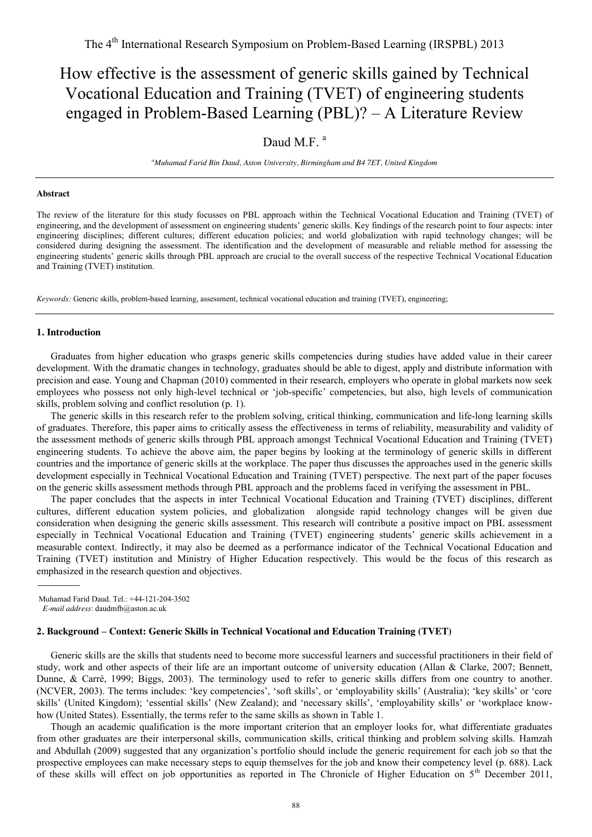# How effective is the assessment of generic skills gained by Technical Vocational Education and Training (TVET) of engineering students engaged in Problem-Based Learning (PBL)? – A Literature Review

# Daud M.F.<sup>a</sup>

*a Muhamad Farid Bin Daud, Aston University, Birmingham and B4 7ET, United Kingdom* 

#### **Abstract**

The review of the literature for this study focusses on PBL approach within the Technical Vocational Education and Training (TVET) of engineering, and the development of assessment on engineering students' generic skills. Key findings of the research point to four aspects: inter engineering disciplines; different cultures; different education policies; and world globalization with rapid technology changes; will be considered during designing the assessment. The identification and the development of measurable and reliable method for assessing the engineering students' generic skills through PBL approach are crucial to the overall success of the respective Technical Vocational Education and Training (TVET) institution.

*Keywords:* Generic skills, problem-based learning, assessment, technical vocational education and training (TVET), engineering;

### **1. Introduction**

Graduates from higher education who grasps generic skills competencies during studies have added value in their career development. With the dramatic changes in technology, graduates should be able to digest, apply and distribute information with precision and ease. [Young and Chapman \(2010\)](#page-6-0) commented in their research, employers who operate in global markets now seek employees who possess not only high-level technical or 'job-specific' competencies, but also, high levels of communication skills, problem solving and conflict resolution [\(p. 1\)](#page-6-0).

The generic skills in this research refer to the problem solving, critical thinking, communication and life-long learning skills of graduates. Therefore, this paper aims to critically assess the effectiveness in terms of reliability, measurability and validity of the assessment methods of generic skills through PBL approach amongst Technical Vocational Education and Training (TVET) engineering students. To achieve the above aim, the paper begins by looking at the terminology of generic skills in different countries and the importance of generic skills at the workplace. The paper thus discusses the approaches used in the generic skills development especially in Technical Vocational Education and Training (TVET) perspective. The next part of the paper focuses on the generic skills assessment methods through PBL approach and the problems faced in verifying the assessment in PBL.

The paper concludes that the aspects in inter Technical Vocational Education and Training (TVET) disciplines, different cultures, different education system policies, and globalization alongside rapid technology changes will be given due consideration when designing the generic skills assessment. This research will contribute a positive impact on PBL assessment especially in Technical Vocational Education and Training (TVET) engineering students' generic skills achievement in a measurable context. Indirectly, it may also be deemed as a performance indicator of the Technical Vocational Education and Training (TVET) institution and Ministry of Higher Education respectively. This would be the focus of this research as emphasized in the research question and objectives.

# **2. Background – Context: Generic Skills in Technical Vocational and Education Training (TVET)**

Generic skills are the skills that students need to become more successful learners and successful practitioners in their field of study, work and other aspects of their life are an important outcome of university education [\(Allan & Clarke, 2007;](#page-5-0) [Bennett,](#page-5-1)  [Dunne, & Carré, 1999;](#page-5-1) [Biggs, 2003\)](#page-5-2). The terminology used to refer to generic skills differs from one country to another. [\(NCVER, 2003\)](#page-5-3). The terms includes: 'key competencies', 'soft skills', or 'employability skills' (Australia); 'key skills' or 'core skills' (United Kingdom); 'essential skills' (New Zealand); and 'necessary skills', 'employability skills' or 'workplace knowhow (United States). Essentially, the terms refer to the same skills as shown in Table 1.

Though an academic qualification is the more important criterion that an employer looks for, what differentiate graduates from other graduates are their interpersonal skills, communication skills, critical thinking and problem solving skills. [Hamzah](#page-5-4)  [and Abdullah \(2009\)](#page-5-4) suggested that any organization's portfolio should include the generic requirement for each job so that the prospective employees can make necessary steps to equip themselves for the job and know their competency level [\(p. 688\)](#page-5-4). Lack of these skills will effect on job opportunities as reported in The Chronicle of Higher Education on 5<sup>th</sup> December 2011,

Muhamad Farid Daud. Tel.: +44-121-204-3502

*E-mail address*: daudmfb@aston.ac.uk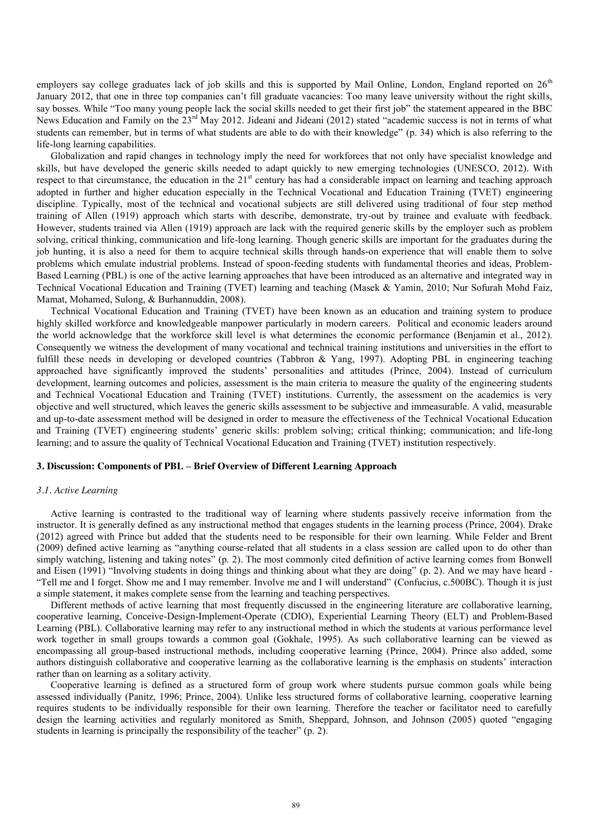employers say college graduates lack of job skills and this is supported by Mail Online, London, England reported on 26<sup>th</sup> January 2012, that one in three top companies can't fill graduate vacancies: Too many leave university without the right skills, say bosses. While "Too many young people lack the social skills needed to get their first job" the statement appeared in the BBC News Education and Family on the 23rd May 2012. [Jideani and Jideani \(2012\)](#page-5-5) stated "academic success is not in terms of what students can remember, but in terms of what students are able to do with their knowledge" [\(p. 34\)](#page-5-5) which is also referring to the life-long learning capabilities.

Globalization and rapid changes in technology imply the need for workforces that not only have specialist knowledge and skills, but have developed the generic skills needed to adapt quickly to new emerging technologies [\(UNESCO, 2012\)](#page-5-6). With respect to that circumstance, the education in the 21<sup>st</sup> century has had a considerable impact on learning and teaching approach adopted in further and higher education especially in the Technical Vocational and Education Training (TVET) engineering discipline. Typically, most of the technical and vocational subjects are still delivered using traditional of four step method training of [Allen \(1919\)](#page-5-7) approach which starts with describe, demonstrate, try-out by trainee and evaluate with feedback. However, students trained via [Allen \(1919\)](#page-5-7) approach are lack with the required generic skills by the employer such as problem solving, critical thinking, communication and life-long learning. Though generic skills are important for the graduates during the job hunting, it is also a need for them to acquire technical skills through hands-on experience that will enable them to solve problems which emulate industrial problems. Instead of spoon-feeding students with fundamental theories and ideas, Problem-Based Learning (PBL) is one of the active learning approaches that have been introduced as an alternative and integrated way in Technical Vocational Education and Training (TVET) learning and teaching [\(Masek & Yamin, 2010;](#page-5-8) [Nur Sofurah Mohd Faiz,](#page-5-9)  [Mamat, Mohamed, Sulong, & Burhannuddin, 2008\)](#page-5-9).

Technical Vocational Education and Training (TVET) have been known as an education and training system to produce highly skilled workforce and knowledgeable manpower particularly in modern careers. Political and economic leaders around the world acknowledge that the workforce skill level is what determines the economic performance [\(Benjamin et al., 2012\)](#page-5-10). Consequently we witness the development of many vocational and technical training institutions and universities in the effort to fulfill these needs in developing or developed countries [\(Tabbron & Yang, 1997\)](#page-5-11). Adopting PBL in engineering teaching approached have significantly improved the students' personalities and attitudes [\(Prince, 2004\)](#page-5-12). Instead of curriculum development, learning outcomes and policies, assessment is the main criteria to measure the quality of the engineering students and Technical Vocational Education and Training (TVET) institutions. Currently, the assessment on the academics is very objective and well structured, which leaves the generic skills assessment to be subjective and immeasurable. A valid, measurable and up-to-date assessment method will be designed in order to measure the effectiveness of the Technical Vocational Education and Training (TVET) engineering students' generic skills: problem solving; critical thinking; communication; and life-long learning; and to assure the quality of Technical Vocational Education and Training (TVET) institution respectively.

# **3. Discussion: Components of PBL – Brief Overview of Different Learning Approach**

#### *3.1. Active Learning*

Active learning is contrasted to the traditional way of learning where students passively receive information from the instructor. It is generally defined as any instructional method that engages students in the learning process [\(Prince, 2004\)](#page-5-12). Drake [\(2012\)](#page-5-13) agreed with Prince but added that the students need to be responsible for their own learning. While [Felder and Brent](#page-5-14)  [\(2009\)](#page-5-14) defined active learning as "anything course-related that all students in a class session are called upon to do other than simply watching, listening and taking notes" [\(p. 2\)](#page-5-15). The most commonly cited definition of active learning comes from [Bonwell](#page-5-16)  [and Eisen \(1991\)](#page-5-16) "Involving students in doing things and thinking about what they are doing" [\(p. 2\)](#page-5-17). And we may have heard - "Tell me and I forget. Show me and I may remember. Involve me and I will understand" (Confucius, c.500BC). Though it is just a simple statement, it makes complete sense from the learning and teaching perspectives.

Different methods of active learning that most frequently discussed in the engineering literature are collaborative learning, cooperative learning, Conceive-Design-Implement-Operate (CDIO), Experiential Learning Theory (ELT) and Problem-Based Learning (PBL). Collaborative learning may refer to any instructional method in which the students at various performance level work together in small groups towards a common goal [\(Gokhale, 1995\)](#page-5-18). As such collaborative learning can be viewed as encompassing all group-based instructional methods, including cooperative learning [\(Prince, 2004\)](#page-5-12). Prince also added, some authors distinguish collaborative and cooperative learning as the collaborative learning is the emphasis on students' interaction rather than on learning as a solitary activity.

Cooperative learning is defined as a structured form of group work where students pursue common goals while being assessed individually [\(Panitz, 1996;](#page-5-19) [Prince, 2004\)](#page-5-12). Unlike less structured forms of collaborative learning, cooperative learning requires students to be individually responsible for their own learning. Therefore the teacher or facilitator need to carefully design the learning activities and regularly monitored as [Smith, Sheppard, Johnson, and Johnson \(2005\)](#page-5-20) quoted "engaging students in learning is principally the responsibility of the teacher" [\(p. 2\)](#page-5-3).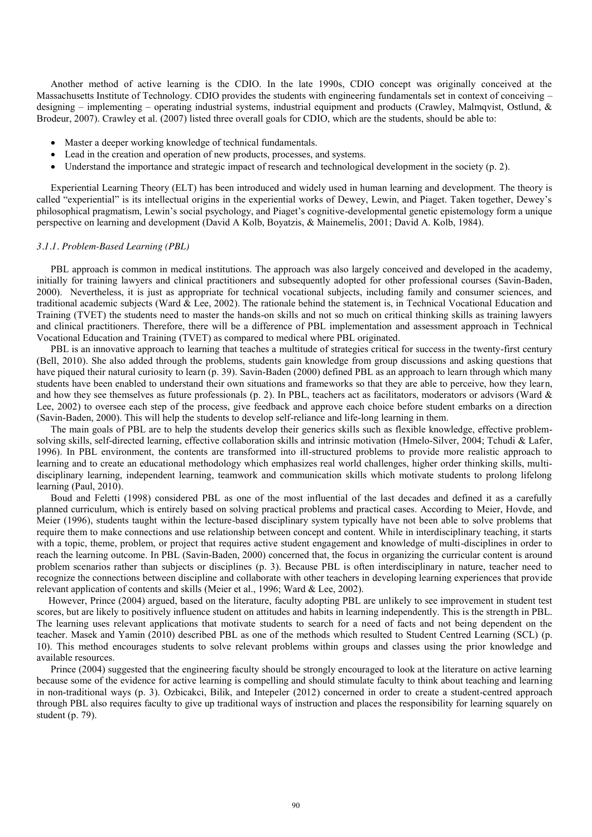Another method of active learning is the CDIO. In the late 1990s, CDIO concept was originally conceived at the Massachusetts Institute of Technology. CDIO provides the students with engineering fundamentals set in context of conceiving – designing – implementing – operating industrial systems, industrial equipment and products [\(Crawley, Malmqvist, Ostlund, &](#page-5-21)  [Brodeur, 2007\)](#page-5-21). [Crawley et al. \(2007\)](#page-5-21) listed three overall goals for CDIO, which are the students, should be able to:

- Master a deeper working knowledge of technical fundamentals.
- Lead in the creation and operation of new products, processes, and systems.
- Understand the importance and strategic impact of research and technological development in the society [\(p. 2\)](#page-5-16).

Experiential Learning Theory (ELT) has been introduced and widely used in human learning and development. The theory is called "experiential" is its intellectual origins in the experiential works of Dewey, Lewin, and Piaget. Taken together, Dewey's philosophical pragmatism, Lewin's social psychology, and Piaget's cognitive-developmental genetic epistemology form a unique perspective on learning and development [\(David A Kolb, Boyatzis, & Mainemelis, 2001;](#page-5-22) [David A. Kolb, 1984\)](#page-5-23).

#### *3.1.1. Problem-Based Learning (PBL)*

PBL approach is common in medical institutions. The approach was also largely conceived and developed in the academy, initially for training lawyers and clinical practitioners and subsequently adopted for other professional courses [\(Savin-Baden,](#page-5-24)  [2000\)](#page-5-24). Nevertheless, it is just as appropriate for technical vocational subjects, including family and consumer sciences, and traditional academic subjects (Ward  $&$  Lee, 2002). The rationale behind the statement is, in Technical Vocational Education and Training (TVET) the students need to master the hands-on skills and not so much on critical thinking skills as training lawyers and clinical practitioners. Therefore, there will be a difference of PBL implementation and assessment approach in Technical Vocational Education and Training **(**TVET) as compared to medical where PBL originated.

PBL is an innovative approach to learning that teaches a multitude of strategies critical for success in the twenty-first century [\(Bell, 2010\)](#page-5-25). She also added through the problems, students gain knowledge from group discussions and asking questions that have piqued their natural curiosity to learn [\(p. 39\)](#page-5-25). [Savin-Baden \(2000\)](#page-5-24) defined PBL as an approach to learn through which many students have been enabled to understand their own situations and frameworks so that they are able to perceive, how they learn, and how they see themselves as future professionals [\(p. 2\)](#page-5-24). In PBL, teachers act as facilitators, moderators or advisors (Ward  $\&$ [Lee, 2002\)](#page-6-1) to oversee each step of the process, give feedback and approve each choice before student embarks on a direction [\(Savin-Baden, 2000\)](#page-5-24). This will help the students to develop self-reliance and life-long learning in them.

The main goals of PBL are to help the students develop their generics skills such as flexible knowledge, effective problemsolving skills, self-directed learning, effective collaboration skills and intrinsic motivation [\(Hmelo-Silver, 2004;](#page-5-26) [Tchudi & Lafer,](#page-5-27)  [1996\)](#page-5-27). In PBL environment, the contents are transformed into ill-structured problems to provide more realistic approach to learning and to create an educational methodology which emphasizes real world challenges, higher order thinking skills, multidisciplinary learning, independent learning, teamwork and communication skills which motivate students to prolong lifelong learning [\(Paul, 2010\)](#page-5-28).

[Boud and Feletti \(1998\)](#page-5-29) considered PBL as one of the most influential of the last decades and defined it as a carefully planned curriculum, which is entirely based on solving practical problems and practical cases. According to [Meier, Hovde, and](#page-5-30)  [Meier \(1996\)](#page-5-30), students taught within the lecture-based disciplinary system typically have not been able to solve problems that require them to make connections and use relationship between concept and content. While in interdisciplinary teaching, it starts with a topic, theme, problem, or project that requires active student engagement and knowledge of multi-disciplines in order to reach the learning outcome. In PBL [\(Savin-Baden, 2000\)](#page-5-24) concerned that, the focus in organizing the curricular content is around problem scenarios rather than subjects or disciplines [\(p. 3\)](#page-5-24). Because PBL is often interdisciplinary in nature, teacher need to recognize the connections between discipline and collaborate with other teachers in developing learning experiences that provide relevant application of contents and skills [\(Meier et al., 1996;](#page-5-30) [Ward & Lee, 2002\)](#page-6-1).

However, [Prince \(2004\)](#page-5-12) argued, based on the literature, faculty adopting PBL are unlikely to see improvement in student test scores, but are likely to positively influence student on attitudes and habits in learning independently. This is the strength in PBL. The learning uses relevant applications that motivate students to search for a need of facts and not being dependent on the teacher. [Masek and Yamin \(2010\)](#page-5-8) described PBL as one of the methods which resulted to Student Centred Learning (SCL) [\(p.](#page-5-8)  [10\)](#page-5-8). This method encourages students to solve relevant problems within groups and classes using the prior knowledge and available resources.

[Prince \(2004\)](#page-5-12) suggested that the engineering faculty should be strongly encouraged to look at the literature on active learning because some of the evidence for active learning is compelling and should stimulate faculty to think about teaching and learning in non-traditional ways [\(p. 3\)](#page-5-12). [Ozbicakci, Bilik, and Intepeler \(2012\)](#page-5-31) concerned in order to create a student-centred approach through PBL also requires faculty to give up traditional ways of instruction and places the responsibility for learning squarely on student [\(p. 79\)](#page-5-31).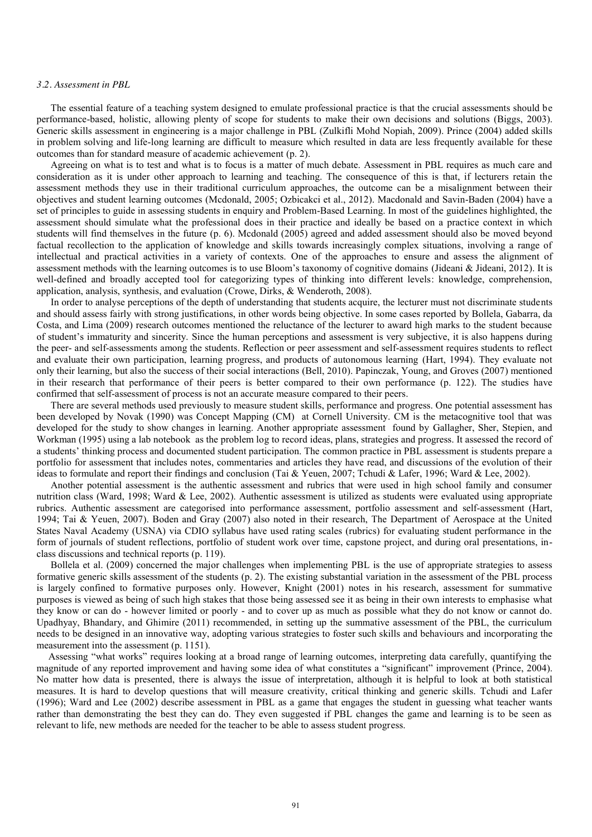# *3.2. Assessment in PBL*

The essential feature of a teaching system designed to emulate professional practice is that the crucial assessments should be performance-based, holistic, allowing plenty of scope for students to make their own decisions and solutions [\(Biggs, 2003\)](#page-5-2). Generic skills assessment in engineering is a major challenge in PBL [\(Zulkifli Mohd Nopiah, 2009\)](#page-6-2). [Prince \(2004\)](#page-5-12) added skills in problem solving and life-long learning are difficult to measure which resulted in data are less frequently available for these outcomes than for standard measure of academic achievement [\(p. 2\)](#page-5-12).

Agreeing on what is to test and what is to focus is a matter of much debate. Assessment in PBL requires as much care and consideration as it is under other approach to learning and teaching. The consequence of this is that, if lecturers retain the assessment methods they use in their traditional curriculum approaches, the outcome can be a misalignment between their objectives and student learning outcomes [\(Mcdonald, 2005;](#page-5-32) [Ozbicakci et al., 2012\)](#page-5-31). [Macdonald and Savin-Baden \(2004\)](#page-5-33) have a set of principles to guide in assessing students in enquiry and Problem-Based Learning. In most of the guidelines highlighted, the assessment should simulate what the professional does in their practice and ideally be based on a practice context in which students will find themselves in the future [\(p. 6\)](#page-5-34). [Mcdonald \(2005\)](#page-5-32) agreed and added assessment should also be moved beyond factual recollection to the application of knowledge and skills towards increasingly complex situations, involving a range of intellectual and practical activities in a variety of contexts. One of the approaches to ensure and assess the alignment of assessment methods with the learning outcomes is to use Bloom's taxonomy of cognitive domains [\(Jideani & Jideani, 2012\)](#page-5-5). It is well-defined and broadly accepted tool for categorizing types of thinking into different levels: knowledge, comprehension, application, analysis, synthesis, and evaluation [\(Crowe, Dirks, & Wenderoth, 2008\)](#page-5-35).

In order to analyse perceptions of the depth of understanding that students acquire, the lecturer must not discriminate students and should assess fairly with strong justifications, in other words being objective. In some cases reported b[y Bollela, Gabarra, da](#page-5-36)  [Costa, and Lima \(2009\)](#page-5-36) research outcomes mentioned the reluctance of the lecturer to award high marks to the student because of student's immaturity and sincerity. Since the human perceptions and assessment is very subjective, it is also happens during the peer- and self-assessments among the students. Reflection or peer assessment and self-assessment requires students to reflect and evaluate their own participation, learning progress, and products of autonomous learning [\(Hart, 1994\)](#page-5-37). They evaluate not only their learning, but also the success of their social interactions [\(Bell, 2010\)](#page-5-25). [Papinczak, Young, and Groves \(2007\)](#page-5-38) mentioned in their research that performance of their peers is better compared to their own performance [\(p. 122\)](#page-5-38). The studies have confirmed that self-assessment of process is not an accurate measure compared to their peers.

There are several methods used previously to measure student skills, performance and progress. One potential assessment has been developed by [Novak \(1990\)](#page-5-39) was Concept Mapping (CM) at Cornell University. CM is the metacognitive tool that was developed for the study to show changes in learning. Another appropriate assessment found by [Gallagher, Sher, Stepien, and](#page-5-15)  [Workman \(1995\)](#page-5-15) using a lab notebook as the problem log to record ideas, plans, strategies and progress. It assessed the record of a students' thinking process and documented student participation. The common practice in PBL assessment is students prepare a portfolio for assessment that includes notes, commentaries and articles they have read, and discussions of the evolution of their ideas to formulate and report their findings and conclusion [\(Tai & Yeuen, 2007;](#page-5-40) [Tchudi & Lafer, 1996;](#page-5-27) [Ward & Lee, 2002\)](#page-6-1).

Another potential assessment is the authentic assessment and rubrics that were used in high school family and consumer nutrition class [\(Ward, 1998;](#page-6-3) [Ward & Lee, 2002\)](#page-6-1). Authentic assessment is utilized as students were evaluated using appropriate rubrics. Authentic assessment are categorised into performance assessment, portfolio assessment and self-assessment [\(Hart,](#page-5-37)  [1994;](#page-5-37) [Tai & Yeuen, 2007\)](#page-5-40). [Boden and Gray \(2007\)](#page-5-17) also noted in their research, The Department of Aerospace at the United States Naval Academy (USNA) via CDIO syllabus have used rating scales (rubrics) for evaluating student performance in the form of journals of student reflections, portfolio of student work over time, capstone project, and during oral presentations, inclass discussions and technical reports [\(p. 119\)](#page-5-10).

[Bollela et al. \(2009\)](#page-5-36) concerned the major challenges when implementing PBL is the use of appropriate strategies to assess formative generic skills assessment of the students [\(p. 2\)](#page-5-2). The existing substantial variation in the assessment of the PBL process is largely confined to formative purposes only. However, [Knight \(2001\)](#page-5-34) notes in his research, assessment for summative purposes is viewed as being of such high stakes that those being assessed see it as being in their own interests to emphasise what they know or can do - however limited or poorly - and to cover up as much as possible what they do not know or cannot do. [Upadhyay, Bhandary, and Ghimire \(2011\)](#page-6-4) recommended, in setting up the summative assessment of the PBL, the curriculum needs to be designed in an innovative way, adopting various strategies to foster such skills and behaviours and incorporating the measurement into the assessment [\(p. 1151\)](#page-5-31).

Assessing "what works" requires looking at a broad range of learning outcomes, interpreting data carefully, quantifying the magnitude of any reported improvement and having some idea of what constitutes a "significant" improvement [\(Prince, 2004\)](#page-5-12). No matter how data is presented, there is always the issue of interpretation, although it is helpful to look at both statistical measures. It is hard to develop questions that will measure creativity, critical thinking and generic skills. [Tchudi and Lafer](#page-5-27)  [\(1996\)](#page-5-27); [Ward and Lee \(2002\)](#page-6-1) describe assessment in PBL as a game that engages the student in guessing what teacher wants rather than demonstrating the best they can do. They even suggested if PBL changes the game and learning is to be seen as relevant to life, new methods are needed for the teacher to be able to assess student progress.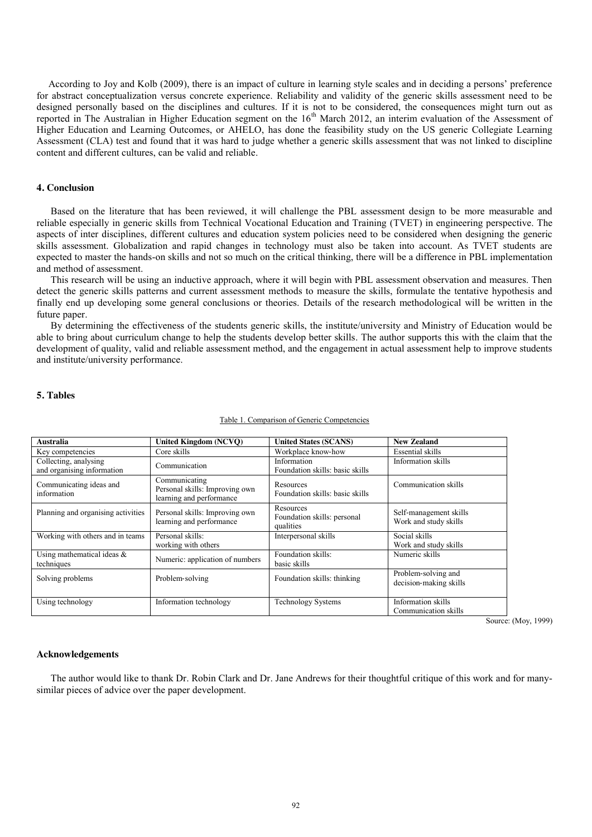According to [Joy and Kolb \(2009\)](#page-5-41), there is an impact of culture in learning style scales and in deciding a persons' preference for abstract conceptualization versus concrete experience. Reliability and validity of the generic skills assessment need to be designed personally based on the disciplines and cultures. If it is not to be considered, the consequences might turn out as reported in The Australian in Higher Education segment on the  $16<sup>th</sup>$  March 2012, an interim evaluation of the Assessment of Higher Education and Learning Outcomes, or AHELO, has done the feasibility study on the US generic Collegiate Learning Assessment (CLA) test and found that it was hard to judge whether a generic skills assessment that was not linked to discipline content and different cultures, can be valid and reliable.

#### **4. Conclusion**

Based on the literature that has been reviewed, it will challenge the PBL assessment design to be more measurable and reliable especially in generic skills from Technical Vocational Education and Training (TVET) in engineering perspective. The aspects of inter disciplines, different cultures and education system policies need to be considered when designing the generic skills assessment. Globalization and rapid changes in technology must also be taken into account. As TVET students are expected to master the hands-on skills and not so much on the critical thinking, there will be a difference in PBL implementation and method of assessment.

This research will be using an inductive approach, where it will begin with PBL assessment observation and measures. Then detect the generic skills patterns and current assessment methods to measure the skills, formulate the tentative hypothesis and finally end up developing some general conclusions or theories. Details of the research methodological will be written in the future paper.

By determining the effectiveness of the students generic skills, the institute/university and Ministry of Education would be able to bring about curriculum change to help the students develop better skills. The author supports this with the claim that the development of quality, valid and reliable assessment method, and the engagement in actual assessment help to improve students and institute/university performance.

#### **5. Tables**

| <b>Australia</b>                                    | United Kingdom (NCVO)                                                       | <b>United States (SCANS)</b>                          | <b>New Zealand</b>                              |
|-----------------------------------------------------|-----------------------------------------------------------------------------|-------------------------------------------------------|-------------------------------------------------|
| Key competencies                                    | Core skills                                                                 | Workplace know-how                                    | <b>Essential skills</b>                         |
| Collecting, analysing<br>and organising information | Communication                                                               | Information<br>Foundation skills: basic skills        | Information skills                              |
| Communicating ideas and<br>information              | Communicating<br>Personal skills: Improving own<br>learning and performance | <b>Resources</b><br>Foundation skills: basic skills   | Communication skills                            |
| Planning and organising activities                  | Personal skills: Improving own<br>learning and performance                  | Resources<br>Foundation skills: personal<br>qualities | Self-management skills<br>Work and study skills |
| Working with others and in teams                    | Personal skills:<br>working with others                                     | Interpersonal skills                                  | Social skills<br>Work and study skills          |
| Using mathematical ideas $\&$<br>techniques         | Numeric: application of numbers                                             | Foundation skills:<br>basic skills                    | Numeric skills                                  |
| Solving problems                                    | Problem-solving                                                             | Foundation skills: thinking                           | Problem-solving and<br>decision-making skills   |
| Using technology                                    | Information technology                                                      | <b>Technology Systems</b>                             | Information skills<br>Communication skills      |

#### Table 1. Comparison of Generic Competencies

Source: [\(Moy, 1999\)](#page-5-42)

#### **Acknowledgements**

The author would like to thank Dr. Robin Clark and Dr. Jane Andrews for their thoughtful critique of this work and for manysimilar pieces of advice over the paper development.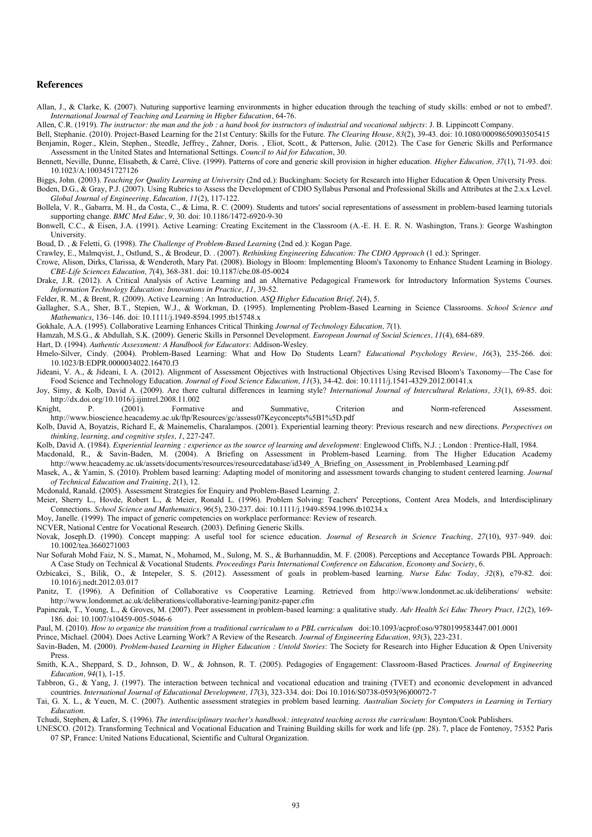#### **References**

<span id="page-5-0"></span>Allan, J., & Clarke, K. (2007). Nuturing supportive learning environments in higher education through the teaching of study skills: embed or not to embed?. *International Journal of Teaching and Learning in Higher Education*, 64-76.

<span id="page-5-7"></span>Allen, C.R. (1919). *The instructor: the man and the job : a hand book for instructors of industrial and vocational subjects*: J. B. Lippincott Company.

<span id="page-5-25"></span><span id="page-5-10"></span>Bell, Stephanie. (2010). Project-Based Learning for the 21st Century: Skills for the Future. *The Clearing House, 83*(2), 39-43. doi: 10.1080/00098650903505415 Benjamin, Roger., Klein, Stephen., Steedle, Jeffrey., Zahner, Doris. , Eliot, Scott., & Patterson, Julie. (2012). The Case for Generic Skills and Performance Assessment in the United States and International Settings. *Council to Aid for Education*, 30.

<span id="page-5-1"></span>Bennett, Neville, Dunne, Elisabeth, & Carré, Clive. (1999). Patterns of core and generic skill provision in higher education. *Higher Education, 37*(1), 71-93. doi: 10.1023/A:1003451727126

<span id="page-5-2"></span>Biggs, John. (2003). *Teaching for Quality Learning at University* (2nd ed.): Buckingham: Society for Research into Higher Education & Open University Press.

<span id="page-5-17"></span>Boden, D.G., & Gray, P.J. (2007). Using Rubrics to Assess the Development of CDIO Syllabus Personal and Professional Skills and Attributes at the 2.x.x Level. *Global Journal of Engineering. Education, 11*(2), 117-122.

<span id="page-5-36"></span>Bollela, V. R., Gabarra, M. H., da Costa, C., & Lima, R. C. (2009). Students and tutors' social representations of assessment in problem-based learning tutorials supporting change. *BMC Med Educ, 9*, 30. doi: 10.1186/1472-6920-9-30

<span id="page-5-16"></span>Bonwell, C.C., & Eisen, J.A. (1991). Active Learning: Creating Excitement in the Classroom (A.-E. H. E. R. N. Washington, Trans.): George Washington University.

<span id="page-5-29"></span>Boud, D. , & Feletti, G. (1998). *The Challenge of Problem-Based Learning* (2nd ed.): Kogan Page.

<span id="page-5-21"></span>Crawley, E., Malmqvist, J., Ostlund, S., & Brodeur, D. . (2007). *Rethinking Engineering Education: The CDIO Approach* (1 ed.): Springer.

- <span id="page-5-35"></span>Crowe, Alison, Dirks, Clarissa, & Wenderoth, Mary Pat. (2008). Biology in Bloom: Implementing Bloom's Taxonomy to Enhance Student Learning in Biology. *CBE-Life Sciences Education, 7*(4), 368-381. doi: 10.1187/cbe.08-05-0024
- <span id="page-5-13"></span>Drake, J.R. (2012). A Critical Analysis of Active Learning and an Alternative Pedagogical Framework for Introductory Information Systems Courses. *Information Technology Education: Innovations in Practice, 11*, 39-52.

<span id="page-5-14"></span>Felder, R. M., & Brent, R. (2009). Active Learning : An Introduction. *ASQ Higher Education Brief, 2*(4), 5.

<span id="page-5-15"></span>Gallagher, S.A., Sher, B.T., Stepien, W.J., & Workman, D. (1995). Implementing Problem-Based Learning in Science Classrooms. *School Science and Mathematics*, 136–146. doi: 10.1111/j.1949-8594.1995.tb15748.x

<span id="page-5-18"></span>Gokhale, A.A. (1995). Collaborative Learning Enhances Critical Thinking *Journal of Technology Education, 7*(1).

<span id="page-5-4"></span>Hamzah, M.S.G., & Abdullah, S.K. (2009). Generic Skills in Personnel Development. *European Journal of Social Sciences, 11*(4), 684-689.

<span id="page-5-37"></span>Hart, D. (1994). *Authentic Assessment: A Handbook for Educators*: Addison-Wesley.

<span id="page-5-26"></span>Hmelo-Silver, Cindy. (2004). Problem-Based Learning: What and How Do Students Learn? *Educational Psychology Review, 16*(3), 235-266. doi: 10.1023/B:EDPR.0000034022.16470.f3

- <span id="page-5-5"></span>Jideani, V. A., & Jideani, I. A. (2012). Alignment of Assessment Objectives with Instructional Objectives Using Revised Bloom's Taxonomy—The Case for Food Science and Technology Education. *Journal of Food Science Education, 11*(3), 34-42. doi: 10.1111/j.1541-4329.2012.00141.x
- <span id="page-5-41"></span>Joy, Simy, & Kolb, David A. (2009). Are there cultural differences in learning style? *International Journal of Intercultural Relations, 33*(1), 69-85. doi: <http://dx.doi.org/10.1016/j.ijintrel.2008.11.002>

<span id="page-5-34"></span>Knight, P. (2001). Formative and Summative, Criterion and Norm-referenced Assessment. <http://www.bioscience.heacademy.ac.uk/ftp/Resources/gc/assess07Keyconcepts%5B1%5D.pdf>

<span id="page-5-22"></span>Kolb, David A, Boyatzis, Richard E, & Mainemelis, Charalampos. (2001). Experiential learning theory: Previous research and new directions. *Perspectives on thinking, learning, and cognitive styles, 1*, 227-247.

<span id="page-5-23"></span>Kolb, David A. (1984). *Experiential learning : experience as the source of learning and development*: Englewood Cliffs, N.J.; London : Prentice-Hall, 1984.

<span id="page-5-33"></span>Macdonald, R., & Savin-Baden, M. (2004). A Briefing on Assessment in Problem-based Learning. from The Higher Education Academy [http://www.heacademy.ac.uk/assets/documents/resources/resourcedatabase/id349\\_A\\_Briefing\\_on\\_Assessment\\_in\\_Problembased\\_Learning.pdf](http://www.heacademy.ac.uk/assets/documents/resources/resourcedatabase/id349_A_Briefing_on_Assessment_in_Problembased_Learning.pdf)

<span id="page-5-8"></span>Masek, A., & Yamin, S. (2010). Problem based learning: Adapting model of monitoring and assessment towards changing to student centered learning. *Journal of Technical Education and Training, 2*(1), 12.

<span id="page-5-32"></span>Mcdonald, Ranald. (2005). Assessment Strategies for Enquiry and Problem-Based Learning. *2*.

<span id="page-5-30"></span>Meier, Sherry L., Hovde, Robert L., & Meier, Ronald L. (1996). Problem Solving: Teachers' Perceptions, Content Area Models, and Interdisciplinary Connections. *School Science and Mathematics, 96*(5), 230-237. doi: 10.1111/j.1949-8594.1996.tb10234.x

<span id="page-5-42"></span>Moy, Janelle. (1999). The impact of generic competencies on workplace performance: Review of research.

<span id="page-5-3"></span>NCVER, National Centre for Vocational Research. (2003). Defining Generic Skills.

<span id="page-5-39"></span>Novak, Joseph.D. (1990). Concept mapping: A useful tool for science education. *Journal of Research in Science Teaching, 27*(10), 937–949. doi: 10.1002/tea.3660271003

<span id="page-5-9"></span>Nur Sofurah Mohd Faiz, N. S., Mamat, N., Mohamed, M., Sulong, M. S., & Burhannuddin, M. F. (2008). Perceptions and Acceptance Towards PBL Approach: A Case Study on Technical & Vocational Students. *Proceedings Paris International Conference on Education, Economy and Society*, 6.

<span id="page-5-31"></span>Ozbicakci, S., Bilik, O., & Intepeler, S. S. (2012). Assessment of goals in problem-based learning. *Nurse Educ Today, 32*(8), e79-82. doi: 10.1016/j.nedt.2012.03.017

<span id="page-5-19"></span>Panitz, T. (1996). A Definition of Collaborative vs Cooperative Learning. Retrieved from <http://www.londonmet.ac.uk/deliberations/>website: <http://www.londonmet.ac.uk/deliberations/collaborative-learning/panitz-paper.cfm>

<span id="page-5-38"></span>Papinczak, T., Young, L., & Groves, M. (2007). Peer assessment in problem-based learning: a qualitative study. *Adv Health Sci Educ Theory Pract, 12*(2), 169- 186. doi: 10.1007/s10459-005-5046-6

<span id="page-5-28"></span>Paul, M. (2010). *How to organize the transition from a traditional curriculum to a PBL curriculum* doi:10.1093/acprof:oso/9780199583447.001.0001

<span id="page-5-12"></span>Prince, Michael. (2004). Does Active Learning Work? A Review of the Research. *Journal of Engineering Education, 93*(3), 223-231.

<span id="page-5-24"></span>Savin-Baden, M. (2000). *Problem-based Learning in Higher Education : Untold Stories*: The Society for Research into Higher Education & Open University Press.

<span id="page-5-20"></span>Smith, K.A., Sheppard, S. D., Johnson, D. W., & Johnson, R. T. (2005). Pedagogies of Engagement: Classroom-Based Practices. *Journal of Engineering Education, 94*(1), 1-15.

- <span id="page-5-11"></span>Tabbron, G., & Yang, J. (1997). The interaction between technical and vocational education and training (TVET) and economic development in advanced countries. *International Journal of Educational Development, 17*(3), 323-334. doi: Doi 10.1016/S0738-0593(96)00072-7
- <span id="page-5-40"></span>Tai, G. X. L., & Yeuen, M. C. (2007). Authentic assessment strategies in problem based learning. *Australian Society for Computers in Learning in Tertiary Education*.

<span id="page-5-27"></span>Tchudi, Stephen, & Lafer, S. (1996). *The interdisciplinary teacher's handbook: integrated teaching across the curriculum*: Boynton/Cook Publishers.

<span id="page-5-6"></span>UNESCO. (2012). Transforming Technical and Vocational Education and Training Building skills for work and life (pp. 28). 7, place de Fontenoy, 75352 Paris 07 SP, France: United Nations Educational, Scientific and Cultural Organization.